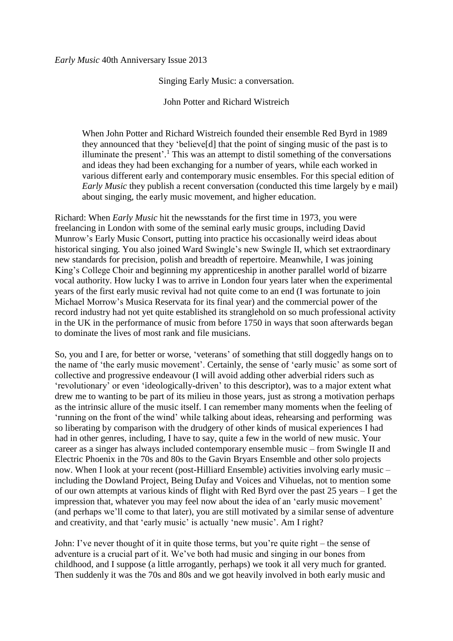## *Early Music* 40th Anniversary Issue 2013

Singing Early Music: a conversation.

John Potter and Richard Wistreich

When John Potter and Richard Wistreich founded their ensemble Red Byrd in 1989 they announced that they 'believe[d] that the point of singing music of the past is to illuminate the present'. <sup>1</sup> This was an attempt to distil something of the conversations and ideas they had been exchanging for a number of years, while each worked in various different early and contemporary music ensembles. For this special edition of *Early Music* they publish a recent conversation (conducted this time largely by e mail) about singing, the early music movement, and higher education.

Richard: When *Early Music* hit the newsstands for the first time in 1973, you were freelancing in London with some of the seminal early music groups, including David Munrow's Early Music Consort, putting into practice his occasionally weird ideas about historical singing. You also joined Ward Swingle's new Swingle II, which set extraordinary new standards for precision, polish and breadth of repertoire. Meanwhile, I was joining King's College Choir and beginning my apprenticeship in another parallel world of bizarre vocal authority. How lucky I was to arrive in London four years later when the experimental years of the first early music revival had not quite come to an end (I was fortunate to join Michael Morrow's Musica Reservata for its final year) and the commercial power of the record industry had not yet quite established its stranglehold on so much professional activity in the UK in the performance of music from before 1750 in ways that soon afterwards began to dominate the lives of most rank and file musicians.

So, you and I are, for better or worse, 'veterans' of something that still doggedly hangs on to the name of 'the early music movement'. Certainly, the sense of 'early music' as some sort of collective and progressive endeavour (I will avoid adding other adverbial riders such as 'revolutionary' or even 'ideologically-driven' to this descriptor), was to a major extent what drew me to wanting to be part of its milieu in those years, just as strong a motivation perhaps as the intrinsic allure of the music itself. I can remember many moments when the feeling of 'running on the front of the wind' while talking about ideas, rehearsing and performing was so liberating by comparison with the drudgery of other kinds of musical experiences I had had in other genres, including, I have to say, quite a few in the world of new music. Your career as a singer has always included contemporary ensemble music – from Swingle II and Electric Phoenix in the 70s and 80s to the Gavin Bryars Ensemble and other solo projects now. When I look at your recent (post-Hilliard Ensemble) activities involving early music – including the Dowland Project, Being Dufay and Voices and Vihuelas, not to mention some of our own attempts at various kinds of flight with Red Byrd over the past 25 years – I get the impression that, whatever you may feel now about the idea of an 'early music movement' (and perhaps we'll come to that later), you are still motivated by a similar sense of adventure and creativity, and that 'early music' is actually 'new music'. Am I right?

John: I've never thought of it in quite those terms, but you're quite right – the sense of adventure is a crucial part of it. We've both had music and singing in our bones from childhood, and I suppose (a little arrogantly, perhaps) we took it all very much for granted. Then suddenly it was the 70s and 80s and we got heavily involved in both early music and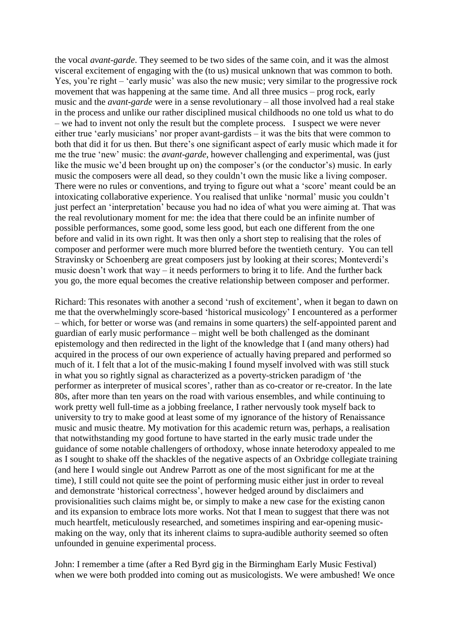the vocal *avant-garde*. They seemed to be two sides of the same coin, and it was the almost visceral excitement of engaging with the (to us) musical unknown that was common to both. Yes, you're right – 'early music' was also the new music; very similar to the progressive rock movement that was happening at the same time. And all three musics – prog rock, early music and the *avant-garde* were in a sense revolutionary – all those involved had a real stake in the process and unlike our rather disciplined musical childhoods no one told us what to do – we had to invent not only the result but the complete process. I suspect we were never either true 'early musicians' nor proper avant-gardists – it was the bits that were common to both that did it for us then. But there's one significant aspect of early music which made it for me the true 'new' music: the *avant-garde*, however challenging and experimental, was (just like the music we'd been brought up on) the composer's (or the conductor's) music. In early music the composers were all dead, so they couldn't own the music like a living composer. There were no rules or conventions, and trying to figure out what a 'score' meant could be an intoxicating collaborative experience. You realised that unlike 'normal' music you couldn't just perfect an 'interpretation' because you had no idea of what you were aiming at. That was the real revolutionary moment for me: the idea that there could be an infinite number of possible performances, some good, some less good, but each one different from the one before and valid in its own right. It was then only a short step to realising that the roles of composer and performer were much more blurred before the twentieth century. You can tell Stravinsky or Schoenberg are great composers just by looking at their scores; Monteverdi's music doesn't work that way – it needs performers to bring it to life. And the further back you go, the more equal becomes the creative relationship between composer and performer.

Richard: This resonates with another a second 'rush of excitement', when it began to dawn on me that the overwhelmingly score-based 'historical musicology' I encountered as a performer – which, for better or worse was (and remains in some quarters) the self-appointed parent and guardian of early music performance – might well be both challenged as the dominant epistemology and then redirected in the light of the knowledge that I (and many others) had acquired in the process of our own experience of actually having prepared and performed so much of it. I felt that a lot of the music-making I found myself involved with was still stuck in what you so rightly signal as characterized as a poverty-stricken paradigm of 'the performer as interpreter of musical scores', rather than as co-creator or re-creator. In the late 80s, after more than ten years on the road with various ensembles, and while continuing to work pretty well full-time as a jobbing freelance, I rather nervously took myself back to university to try to make good at least some of my ignorance of the history of Renaissance music and music theatre. My motivation for this academic return was, perhaps, a realisation that notwithstanding my good fortune to have started in the early music trade under the guidance of some notable challengers of orthodoxy, whose innate heterodoxy appealed to me as I sought to shake off the shackles of the negative aspects of an Oxbridge collegiate training (and here I would single out Andrew Parrott as one of the most significant for me at the time), I still could not quite see the point of performing music either just in order to reveal and demonstrate 'historical correctness', however hedged around by disclaimers and provisionalities such claims might be, or simply to make a new case for the existing canon and its expansion to embrace lots more works. Not that I mean to suggest that there was not much heartfelt, meticulously researched, and sometimes inspiring and ear-opening musicmaking on the way, only that its inherent claims to supra-audible authority seemed so often unfounded in genuine experimental process.

John: I remember a time (after a Red Byrd gig in the Birmingham Early Music Festival) when we were both prodded into coming out as musicologists. We were ambushed! We once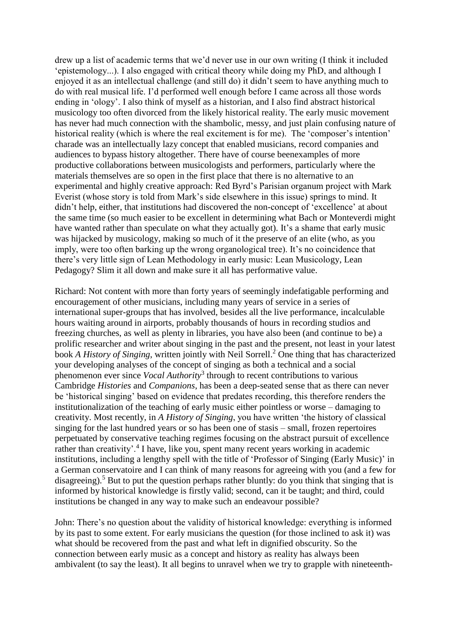drew up a list of academic terms that we'd never use in our own writing (I think it included 'epistemology...). I also engaged with critical theory while doing my PhD, and although I enjoyed it as an intellectual challenge (and still do) it didn't seem to have anything much to do with real musical life. I'd performed well enough before I came across all those words ending in 'ology'. I also think of myself as a historian, and I also find abstract historical musicology too often divorced from the likely historical reality. The early music movement has never had much connection with the shambolic, messy, and just plain confusing nature of historical reality (which is where the real excitement is for me). The 'composer's intention' charade was an intellectually lazy concept that enabled musicians, record companies and audiences to bypass history altogether. There have of course beenexamples of more productive collaborations between musicologists and performers, particularly where the materials themselves are so open in the first place that there is no alternative to an experimental and highly creative approach: Red Byrd's Parisian organum project with Mark Everist (whose story is told from Mark's side elsewhere in this issue) springs to mind. It didn't help, either, that institutions had discovered the non-concept of 'excellence' at about the same time (so much easier to be excellent in determining what Bach or Monteverdi might have wanted rather than speculate on what they actually got). It's a shame that early music was hijacked by musicology, making so much of it the preserve of an elite (who, as you imply, were too often barking up the wrong organological tree). It's no coincidence that there's very little sign of Lean Methodology in early music: Lean Musicology, Lean Pedagogy? Slim it all down and make sure it all has performative value.

Richard: Not content with more than forty years of seemingly indefatigable performing and encouragement of other musicians, including many years of service in a series of international super-groups that has involved, besides all the live performance, incalculable hours waiting around in airports, probably thousands of hours in recording studios and freezing churches, as well as plenty in libraries, you have also been (and continue to be) a prolific researcher and writer about singing in the past and the present, not least in your latest book *A History of Singing*, written jointly with Neil Sorrell. <sup>2</sup> One thing that has characterized your developing analyses of the concept of singing as both a technical and a social phenomenon ever since *Vocal Authority*<sup>3</sup> through to recent contributions to various Cambridge *Histories* and *Companions*, has been a deep-seated sense that as there can never be 'historical singing' based on evidence that predates recording, this therefore renders the institutionalization of the teaching of early music either pointless or worse – damaging to creativity. Most recently, in *A History of Singing*, you have written 'the history of classical singing for the last hundred years or so has been one of stasis – small, frozen repertoires perpetuated by conservative teaching regimes focusing on the abstract pursuit of excellence rather than creativity'.<sup>4</sup> I have, like you, spent many recent years working in academic institutions, including a lengthy spell with the title of 'Professor of Singing (Early Music)' in a German conservatoire and I can think of many reasons for agreeing with you (and a few for disagreeing).<sup>5</sup> But to put the question perhaps rather bluntly: do you think that singing that is informed by historical knowledge is firstly valid; second, can it be taught; and third, could institutions be changed in any way to make such an endeavour possible?

John: There's no question about the validity of historical knowledge: everything is informed by its past to some extent. For early musicians the question (for those inclined to ask it) was what should be recovered from the past and what left in dignified obscurity. So the connection between early music as a concept and history as reality has always been ambivalent (to say the least). It all begins to unravel when we try to grapple with nineteenth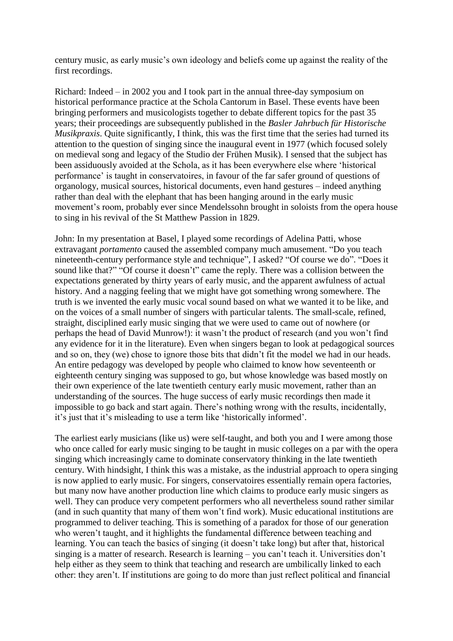century music, as early music's own ideology and beliefs come up against the reality of the first recordings.

Richard: Indeed – in 2002 you and I took part in the annual three-day symposium on historical performance practice at the Schola Cantorum in Basel. These events have been bringing performers and musicologists together to debate different topics for the past 35 years; their proceedings are subsequently published in the *Basler Jahrbuch für Historische Musikpraxis*. Quite significantly, I think, this was the first time that the series had turned its attention to the question of singing since the inaugural event in 1977 (which focused solely on medieval song and legacy of the Studio der Frühen Musik). I sensed that the subject has been assiduously avoided at the Schola, as it has been everywhere else where 'historical performance' is taught in conservatoires, in favour of the far safer ground of questions of organology, musical sources, historical documents, even hand gestures – indeed anything rather than deal with the elephant that has been hanging around in the early music movement's room, probably ever since Mendelssohn brought in soloists from the opera house to sing in his revival of the St Matthew Passion in 1829.

John: In my presentation at Basel, I played some recordings of Adelina Patti, whose extravagant *portamento* caused the assembled company much amusement. "Do you teach nineteenth-century performance style and technique", I asked? "Of course we do". "Does it sound like that?" "Of course it doesn't" came the reply. There was a collision between the expectations generated by thirty years of early music, and the apparent awfulness of actual history. And a nagging feeling that we might have got something wrong somewhere. The truth is we invented the early music vocal sound based on what we wanted it to be like, and on the voices of a small number of singers with particular talents. The small-scale, refined, straight, disciplined early music singing that we were used to came out of nowhere (or perhaps the head of David Munrow!): it wasn't the product of research (and you won't find any evidence for it in the literature). Even when singers began to look at pedagogical sources and so on, they (we) chose to ignore those bits that didn't fit the model we had in our heads. An entire pedagogy was developed by people who claimed to know how seventeenth or eighteenth century singing was supposed to go, but whose knowledge was based mostly on their own experience of the late twentieth century early music movement, rather than an understanding of the sources. The huge success of early music recordings then made it impossible to go back and start again. There's nothing wrong with the results, incidentally, it's just that it's misleading to use a term like 'historically informed'.

The earliest early musicians (like us) were self-taught, and both you and I were among those who once called for early music singing to be taught in music colleges on a par with the opera singing which increasingly came to dominate conservatory thinking in the late twentieth century. With hindsight, I think this was a mistake, as the industrial approach to opera singing is now applied to early music. For singers, conservatoires essentially remain opera factories, but many now have another production line which claims to produce early music singers as well. They can produce very competent performers who all nevertheless sound rather similar (and in such quantity that many of them won't find work). Music educational institutions are programmed to deliver teaching. This is something of a paradox for those of our generation who weren't taught, and it highlights the fundamental difference between teaching and learning. You can teach the basics of singing (it doesn't take long) but after that, historical singing is a matter of research. Research is learning – you can't teach it. Universities don't help either as they seem to think that teaching and research are umbilically linked to each other: they aren't. If institutions are going to do more than just reflect political and financial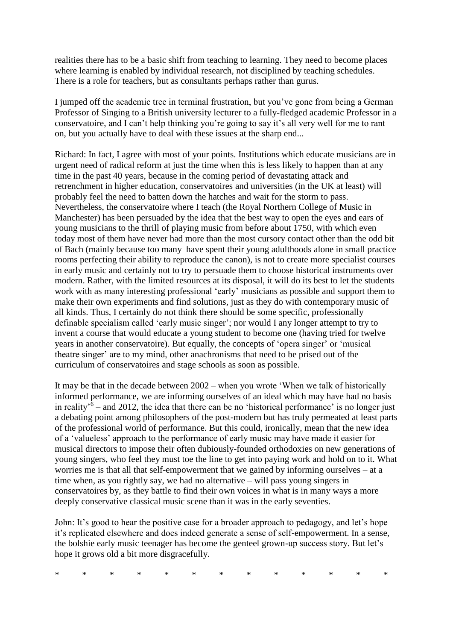realities there has to be a basic shift from teaching to learning. They need to become places where learning is enabled by individual research, not disciplined by teaching schedules. There is a role for teachers, but as consultants perhaps rather than gurus.

I jumped off the academic tree in terminal frustration, but you've gone from being a German Professor of Singing to a British university lecturer to a fully-fledged academic Professor in a conservatoire, and I can't help thinking you're going to say it's all very well for me to rant on, but you actually have to deal with these issues at the sharp end...

Richard: In fact, I agree with most of your points. Institutions which educate musicians are in urgent need of radical reform at just the time when this is less likely to happen than at any time in the past 40 years, because in the coming period of devastating attack and retrenchment in higher education, conservatoires and universities (in the UK at least) will probably feel the need to batten down the hatches and wait for the storm to pass. Nevertheless, the conservatoire where I teach (the Royal Northern College of Music in Manchester) has been persuaded by the idea that the best way to open the eyes and ears of young musicians to the thrill of playing music from before about 1750, with which even today most of them have never had more than the most cursory contact other than the odd bit of Bach (mainly because too many have spent their young adulthoods alone in small practice rooms perfecting their ability to reproduce the canon), is not to create more specialist courses in early music and certainly not to try to persuade them to choose historical instruments over modern. Rather, with the limited resources at its disposal, it will do its best to let the students work with as many interesting professional 'early' musicians as possible and support them to make their own experiments and find solutions, just as they do with contemporary music of all kinds. Thus, I certainly do not think there should be some specific, professionally definable specialism called 'early music singer'; nor would I any longer attempt to try to invent a course that would educate a young student to become one (having tried for twelve years in another conservatoire). But equally, the concepts of 'opera singer' or 'musical theatre singer' are to my mind, other anachronisms that need to be prised out of the curriculum of conservatoires and stage schools as soon as possible.

It may be that in the decade between 2002 – when you wrote 'When we talk of historically informed performance, we are informing ourselves of an ideal which may have had no basis in reality'<sup>6</sup> – and 2012, the idea that there can be no 'historical performance' is no longer just a debating point among philosophers of the post-modern but has truly permeated at least parts of the professional world of performance. But this could, ironically, mean that the new idea of a 'valueless' approach to the performance of early music may have made it easier for musical directors to impose their often dubiously-founded orthodoxies on new generations of young singers, who feel they must toe the line to get into paying work and hold on to it. What worries me is that all that self-empowerment that we gained by informing ourselves – at a time when, as you rightly say, we had no alternative – will pass young singers in conservatoires by, as they battle to find their own voices in what is in many ways a more deeply conservative classical music scene than it was in the early seventies.

John: It's good to hear the positive case for a broader approach to pedagogy, and let's hope it's replicated elsewhere and does indeed generate a sense of self-empowerment. In a sense, the bolshie early music teenager has become the genteel grown-up success story. But let's hope it grows old a bit more disgracefully.

|  |  |  |  |  | * * * * * * * * * * * * * |  |
|--|--|--|--|--|---------------------------|--|
|  |  |  |  |  |                           |  |